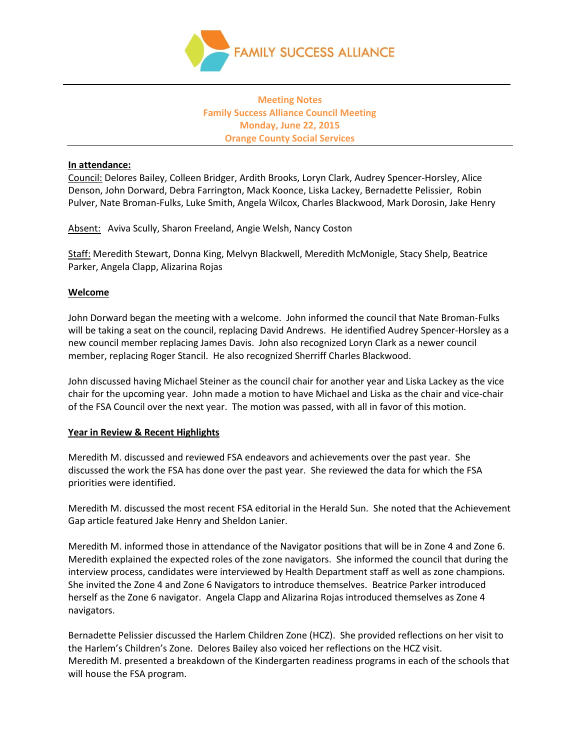

# **Meeting Notes Family Success Alliance Council Meeting Monday, June 22, 2015 Orange County Social Services**

#### **In attendance:**

Council: Delores Bailey, Colleen Bridger, Ardith Brooks, Loryn Clark, Audrey Spencer-Horsley, Alice Denson, John Dorward, Debra Farrington, Mack Koonce, Liska Lackey, Bernadette Pelissier, Robin Pulver, Nate Broman-Fulks, Luke Smith, Angela Wilcox, Charles Blackwood, Mark Dorosin, Jake Henry

Absent: Aviva Scully, Sharon Freeland, Angie Welsh, Nancy Coston

Staff: Meredith Stewart, Donna King, Melvyn Blackwell, Meredith McMonigle, Stacy Shelp, Beatrice Parker, Angela Clapp, Alizarina Rojas

#### **Welcome**

John Dorward began the meeting with a welcome. John informed the council that Nate Broman-Fulks will be taking a seat on the council, replacing David Andrews. He identified Audrey Spencer-Horsley as a new council member replacing James Davis. John also recognized Loryn Clark as a newer council member, replacing Roger Stancil. He also recognized Sherriff Charles Blackwood.

John discussed having Michael Steiner as the council chair for another year and Liska Lackey as the vice chair for the upcoming year. John made a motion to have Michael and Liska as the chair and vice-chair of the FSA Council over the next year. The motion was passed, with all in favor of this motion.

### **Year in Review & Recent Highlights**

Meredith M. discussed and reviewed FSA endeavors and achievements over the past year. She discussed the work the FSA has done over the past year. She reviewed the data for which the FSA priorities were identified.

Meredith M. discussed the most recent FSA editorial in the Herald Sun. She noted that the Achievement Gap article featured Jake Henry and Sheldon Lanier.

Meredith M. informed those in attendance of the Navigator positions that will be in Zone 4 and Zone 6. Meredith explained the expected roles of the zone navigators. She informed the council that during the interview process, candidates were interviewed by Health Department staff as well as zone champions. She invited the Zone 4 and Zone 6 Navigators to introduce themselves. Beatrice Parker introduced herself as the Zone 6 navigator. Angela Clapp and Alizarina Rojas introduced themselves as Zone 4 navigators.

Bernadette Pelissier discussed the Harlem Children Zone (HCZ). She provided reflections on her visit to the Harlem's Children's Zone. Delores Bailey also voiced her reflections on the HCZ visit. Meredith M. presented a breakdown of the Kindergarten readiness programs in each of the schools that will house the FSA program.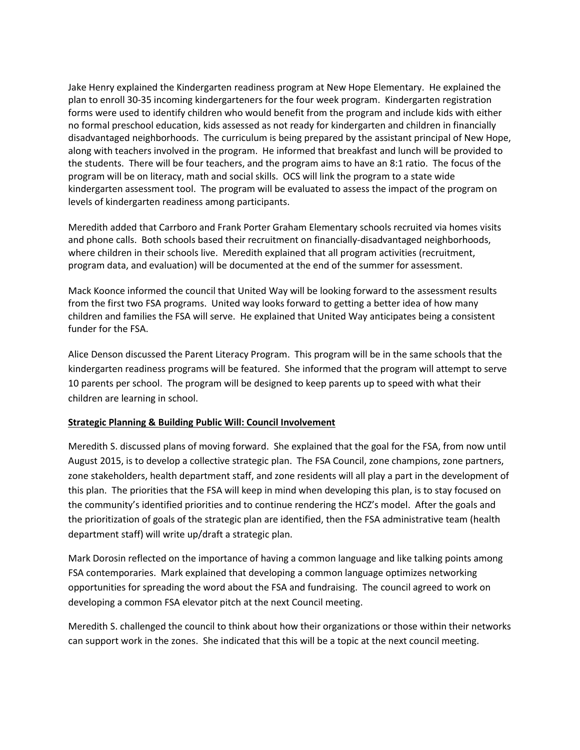Jake Henry explained the Kindergarten readiness program at New Hope Elementary. He explained the plan to enroll 30-35 incoming kindergarteners for the four week program. Kindergarten registration forms were used to identify children who would benefit from the program and include kids with either no formal preschool education, kids assessed as not ready for kindergarten and children in financially disadvantaged neighborhoods. The curriculum is being prepared by the assistant principal of New Hope, along with teachers involved in the program. He informed that breakfast and lunch will be provided to the students. There will be four teachers, and the program aims to have an 8:1 ratio. The focus of the program will be on literacy, math and social skills. OCS will link the program to a state wide kindergarten assessment tool. The program will be evaluated to assess the impact of the program on levels of kindergarten readiness among participants.

Meredith added that Carrboro and Frank Porter Graham Elementary schools recruited via homes visits and phone calls. Both schools based their recruitment on financially-disadvantaged neighborhoods, where children in their schools live. Meredith explained that all program activities (recruitment, program data, and evaluation) will be documented at the end of the summer for assessment.

Mack Koonce informed the council that United Way will be looking forward to the assessment results from the first two FSA programs. United way looks forward to getting a better idea of how many children and families the FSA will serve. He explained that United Way anticipates being a consistent funder for the FSA.

Alice Denson discussed the Parent Literacy Program. This program will be in the same schools that the kindergarten readiness programs will be featured. She informed that the program will attempt to serve 10 parents per school. The program will be designed to keep parents up to speed with what their children are learning in school.

## **Strategic Planning & Building Public Will: Council Involvement**

Meredith S. discussed plans of moving forward. She explained that the goal for the FSA, from now until August 2015, is to develop a collective strategic plan. The FSA Council, zone champions, zone partners, zone stakeholders, health department staff, and zone residents will all play a part in the development of this plan. The priorities that the FSA will keep in mind when developing this plan, is to stay focused on the community's identified priorities and to continue rendering the HCZ's model. After the goals and the prioritization of goals of the strategic plan are identified, then the FSA administrative team (health department staff) will write up/draft a strategic plan.

Mark Dorosin reflected on the importance of having a common language and like talking points among FSA contemporaries. Mark explained that developing a common language optimizes networking opportunities for spreading the word about the FSA and fundraising. The council agreed to work on developing a common FSA elevator pitch at the next Council meeting.

Meredith S. challenged the council to think about how their organizations or those within their networks can support work in the zones. She indicated that this will be a topic at the next council meeting.